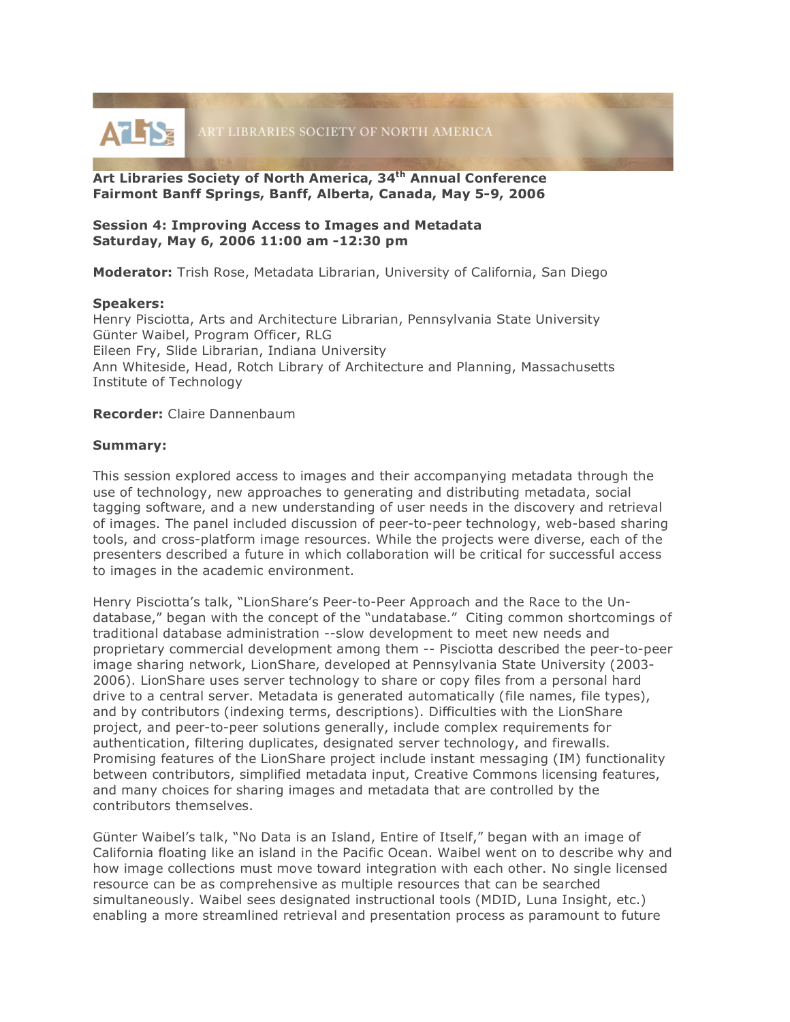

**Art Libraries Society of North America, 34th Annual Conference Fairmont Banff Springs, Banff, Alberta, Canada, May 5-9, 2006**

## **Session 4: Improving Access to Images and Metadata Saturday, May 6, 2006 11:00 am -12:30 pm**

**Moderator:** Trish Rose, Metadata Librarian, University of California, San Diego

## **Speakers:**

Henry Pisciotta, Arts and Architecture Librarian, Pennsylvania State University Günter Waibel, Program Officer, RLG Eileen Fry, Slide Librarian, Indiana University Ann Whiteside, Head, Rotch Library of Architecture and Planning, Massachusetts Institute of Technology

## **Recorder:** Claire Dannenbaum

## **Summary:**

This session explored access to images and their accompanying metadata through the use of technology, new approaches to generating and distributing metadata, social tagging software, and a new understanding of user needs in the discovery and retrieval of images. The panel included discussion of peer-to-peer technology, web-based sharing tools, and cross-platform image resources. While the projects were diverse, each of the presenters described a future in which collaboration will be critical for successful access to images in the academic environment.

Henry Pisciotta's talk, "LionShare's Peer-to-Peer Approach and the Race to the Undatabase," began with the concept of the "undatabase." Citing common shortcomings of traditional database administration --slow development to meet new needs and proprietary commercial development among them -- Pisciotta described the peer-to-peer image sharing network, LionShare, developed at Pennsylvania State University (2003- 2006). LionShare uses server technology to share or copy files from a personal hard drive to a central server. Metadata is generated automatically (file names, file types), and by contributors (indexing terms, descriptions). Difficulties with the LionShare project, and peer-to-peer solutions generally, include complex requirements for authentication, filtering duplicates, designated server technology, and firewalls. Promising features of the LionShare project include instant messaging (IM) functionality between contributors, simplified metadata input, Creative Commons licensing features, and many choices for sharing images and metadata that are controlled by the contributors themselves.

Günter Waibel's talk, "No Data is an Island, Entire of Itself," began with an image of California floating like an island in the Pacific Ocean. Waibel went on to describe why and how image collections must move toward integration with each other. No single licensed resource can be as comprehensive as multiple resources that can be searched simultaneously. Waibel sees designated instructional tools (MDID, Luna Insight, etc.) enabling a more streamlined retrieval and presentation process as paramount to future